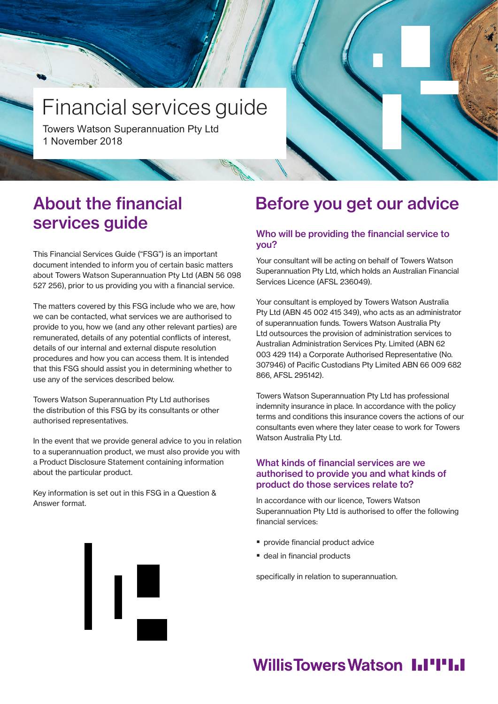# Financial services guide

Towers Watson Superannuation Pty Ltd 1 November 2018

### About the financial services guide

This Financial Services Guide ("FSG") is an important document intended to inform you of certain basic matters about Towers Watson Superannuation Pty Ltd (ABN 56 098 527 256), prior to us providing you with a financial service.

The matters covered by this FSG include who we are, how we can be contacted, what services we are authorised to provide to you, how we (and any other relevant parties) are remunerated, details of any potential conflicts of interest, details of our internal and external dispute resolution procedures and how you can access them. It is intended that this FSG should assist you in determining whether to use any of the services described below.

Towers Watson Superannuation Pty Ltd authorises the distribution of this FSG by its consultants or other authorised representatives.

In the event that we provide general advice to you in relation to a superannuation product, we must also provide you with a Product Disclosure Statement containing information about the particular product.

Key information is set out in this FSG in a Question & Answer format.

## Before you get our advice

### Who will be providing the financial service to you?

Your consultant will be acting on behalf of Towers Watson Superannuation Pty Ltd, which holds an Australian Financial Services Licence (AFSL 236049).

Your consultant is employed by Towers Watson Australia Pty Ltd (ABN 45 002 415 349), who acts as an administrator of superannuation funds. Towers Watson Australia Pty Ltd outsources the provision of administration services to Australian Administration Services Pty. Limited (ABN 62 003 429 114) a Corporate Authorised Representative (No. 307946) of Pacific Custodians Pty Limited ABN 66 009 682 866, AFSL 295142).

Towers Watson Superannuation Pty Ltd has professional indemnity insurance in place. In accordance with the policy terms and conditions this insurance covers the actions of our consultants even where they later cease to work for Towers Watson Australia Pty Ltd.

### What kinds of financial services are we authorised to provide you and what kinds of product do those services relate to?

In accordance with our licence, Towers Watson Superannuation Pty Ltd is authorised to offer the following financial services:

- **provide financial product advice**
- deal in financial products

specifically in relation to superannuation.

## **Willis Towers Watson I.I'I'I.I**